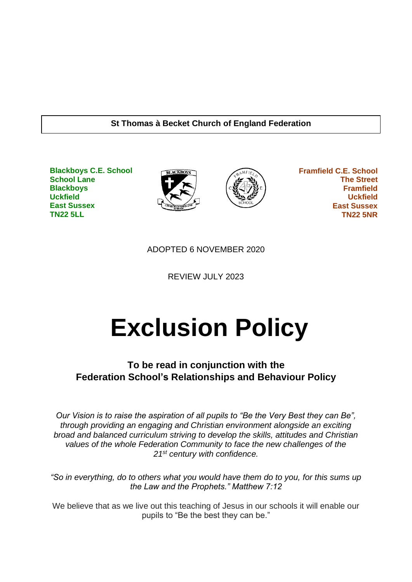# **St Thomas à Becket Church of England Federation**

**Blackboys C.E. School School Lane Blackboys Uckfield East Sussex TN22 5LL**





 **Framfield C.E. School The Street Framfield Uckfield East Sussex TN22 5NR**

ADOPTED 6 NOVEMBER 2020

REVIEW JULY 2023

# **Exclusion Policy**

# **To be read in conjunction with the Federation School's Relationships and Behaviour Policy**

*Our Vision is to raise the aspiration of all pupils to "Be the Very Best they can Be", through providing an engaging and Christian environment alongside an exciting broad and balanced curriculum striving to develop the skills, attitudes and Christian values of the whole Federation Community to face the new challenges of the 21st century with confidence.*

*"So in everything, do to others what you would have them do to you, for this sums up the Law and the Prophets." Matthew 7:12*

We believe that as we live out this teaching of Jesus in our schools it will enable our pupils to "Be the best they can be."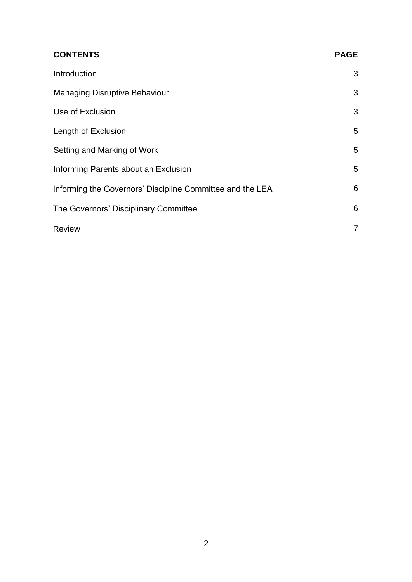| <b>CONTENTS</b>                                           | <b>PAGE</b>    |
|-----------------------------------------------------------|----------------|
| Introduction                                              | 3              |
| <b>Managing Disruptive Behaviour</b>                      | 3              |
| Use of Exclusion                                          | 3              |
| Length of Exclusion                                       | 5              |
| Setting and Marking of Work                               | 5              |
| Informing Parents about an Exclusion                      | 5              |
| Informing the Governors' Discipline Committee and the LEA | 6              |
| The Governors' Disciplinary Committee                     | $6\phantom{1}$ |
| <b>Review</b>                                             | $\overline{7}$ |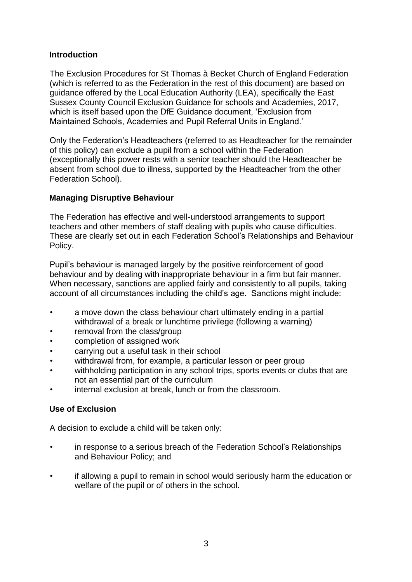# **Introduction**

The Exclusion Procedures for St Thomas à Becket Church of England Federation (which is referred to as the Federation in the rest of this document) are based on guidance offered by the Local Education Authority (LEA), specifically the East Sussex County Council Exclusion Guidance for schools and Academies, 2017, which is itself based upon the DfE Guidance document, 'Exclusion from Maintained Schools, Academies and Pupil Referral Units in England.'

Only the Federation's Headteachers (referred to as Headteacher for the remainder of this policy) can exclude a pupil from a school within the Federation (exceptionally this power rests with a senior teacher should the Headteacher be absent from school due to illness, supported by the Headteacher from the other Federation School).

# **Managing Disruptive Behaviour**

The Federation has effective and well-understood arrangements to support teachers and other members of staff dealing with pupils who cause difficulties. These are clearly set out in each Federation School's Relationships and Behaviour Policy.

Pupil's behaviour is managed largely by the positive reinforcement of good behaviour and by dealing with inappropriate behaviour in a firm but fair manner. When necessary, sanctions are applied fairly and consistently to all pupils, taking account of all circumstances including the child's age. Sanctions might include:

- a move down the class behaviour chart ultimately ending in a partial withdrawal of a break or lunchtime privilege (following a warning)
- removal from the class/group
- completion of assigned work
- carrying out a useful task in their school
- withdrawal from, for example, a particular lesson or peer group
- withholding participation in any school trips, sports events or clubs that are not an essential part of the curriculum
- internal exclusion at break, lunch or from the classroom.

# **Use of Exclusion**

A decision to exclude a child will be taken only:

- in response to a serious breach of the Federation School's Relationships and Behaviour Policy; and
- if allowing a pupil to remain in school would seriously harm the education or welfare of the pupil or of others in the school.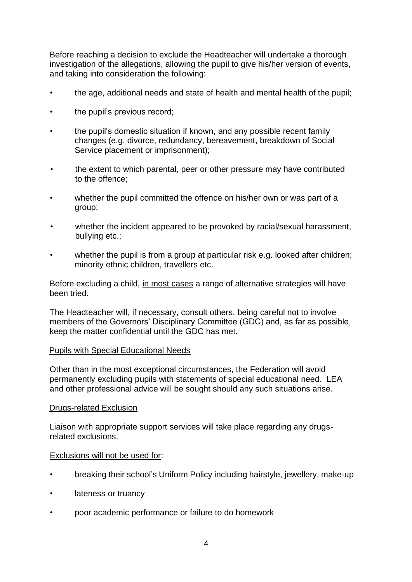Before reaching a decision to exclude the Headteacher will undertake a thorough investigation of the allegations, allowing the pupil to give his/her version of events, and taking into consideration the following:

- the age, additional needs and state of health and mental health of the pupil;
- the pupil's previous record:
- the pupil's domestic situation if known, and any possible recent family changes (e.g. divorce, redundancy, bereavement, breakdown of Social Service placement or imprisonment);
- the extent to which parental, peer or other pressure may have contributed to the offence;
- whether the pupil committed the offence on his/her own or was part of a group;
- whether the incident appeared to be provoked by racial/sexual harassment, bullying etc.;
- whether the pupil is from a group at particular risk e.g. looked after children; minority ethnic children, travellers etc.

Before excluding a child, in most cases a range of alternative strategies will have been tried.

The Headteacher will, if necessary, consult others, being careful not to involve members of the Governors' Disciplinary Committee (GDC) and, as far as possible, keep the matter confidential until the GDC has met.

#### Pupils with Special Educational Needs

Other than in the most exceptional circumstances, the Federation will avoid permanently excluding pupils with statements of special educational need. LEA and other professional advice will be sought should any such situations arise.

#### Drugs-related Exclusion

Liaison with appropriate support services will take place regarding any drugsrelated exclusions.

#### Exclusions will not be used for:

- breaking their school's Uniform Policy including hairstyle, jewellery, make-up
- lateness or truancy
- poor academic performance or failure to do homework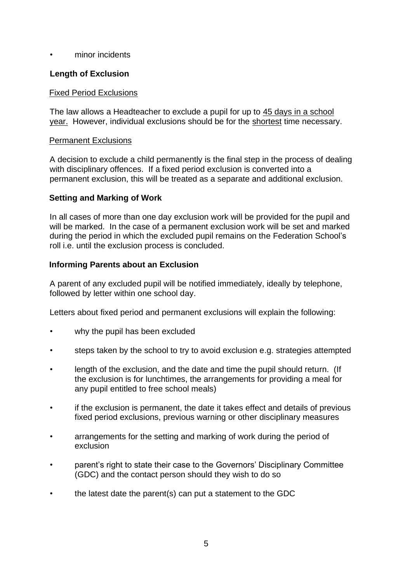#### • minor incidents

# **Length of Exclusion**

#### Fixed Period Exclusions

The law allows a Headteacher to exclude a pupil for up to 45 days in a school year. However, individual exclusions should be for the shortest time necessary.

#### Permanent Exclusions

A decision to exclude a child permanently is the final step in the process of dealing with disciplinary offences. If a fixed period exclusion is converted into a permanent exclusion, this will be treated as a separate and additional exclusion.

#### **Setting and Marking of Work**

In all cases of more than one day exclusion work will be provided for the pupil and will be marked. In the case of a permanent exclusion work will be set and marked during the period in which the excluded pupil remains on the Federation School's roll i.e. until the exclusion process is concluded.

#### **Informing Parents about an Exclusion**

A parent of any excluded pupil will be notified immediately, ideally by telephone, followed by letter within one school day.

Letters about fixed period and permanent exclusions will explain the following:

- why the pupil has been excluded
- steps taken by the school to try to avoid exclusion e.g. strategies attempted
- length of the exclusion, and the date and time the pupil should return. (If the exclusion is for lunchtimes, the arrangements for providing a meal for any pupil entitled to free school meals)
- if the exclusion is permanent, the date it takes effect and details of previous fixed period exclusions, previous warning or other disciplinary measures
- arrangements for the setting and marking of work during the period of exclusion
- parent's right to state their case to the Governors' Disciplinary Committee (GDC) and the contact person should they wish to do so
- the latest date the parent(s) can put a statement to the GDC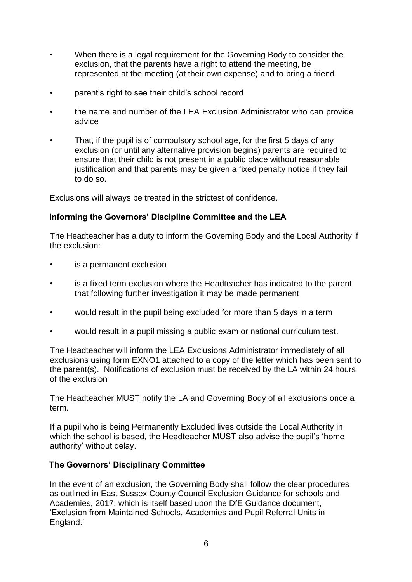- When there is a legal requirement for the Governing Body to consider the exclusion, that the parents have a right to attend the meeting, be represented at the meeting (at their own expense) and to bring a friend
- parent's right to see their child's school record
- the name and number of the LEA Exclusion Administrator who can provide advice
- That, if the pupil is of compulsory school age, for the first 5 days of any exclusion (or until any alternative provision begins) parents are required to ensure that their child is not present in a public place without reasonable justification and that parents may be given a fixed penalty notice if they fail to do so.

Exclusions will always be treated in the strictest of confidence.

# **Informing the Governors' Discipline Committee and the LEA**

The Headteacher has a duty to inform the Governing Body and the Local Authority if the exclusion:

- is a permanent exclusion
- is a fixed term exclusion where the Headteacher has indicated to the parent that following further investigation it may be made permanent
- would result in the pupil being excluded for more than 5 days in a term
- would result in a pupil missing a public exam or national curriculum test.

The Headteacher will inform the LEA Exclusions Administrator immediately of all exclusions using form EXNO1 attached to a copy of the letter which has been sent to the parent(s). Notifications of exclusion must be received by the LA within 24 hours of the exclusion

The Headteacher MUST notify the LA and Governing Body of all exclusions once a term.

If a pupil who is being Permanently Excluded lives outside the Local Authority in which the school is based, the Headteacher MUST also advise the pupil's 'home authority' without delay.

#### **The Governors' Disciplinary Committee**

In the event of an exclusion, the Governing Body shall follow the clear procedures as outlined in East Sussex County Council Exclusion Guidance for schools and Academies, 2017, which is itself based upon the DfE Guidance document, 'Exclusion from Maintained Schools, Academies and Pupil Referral Units in England.'